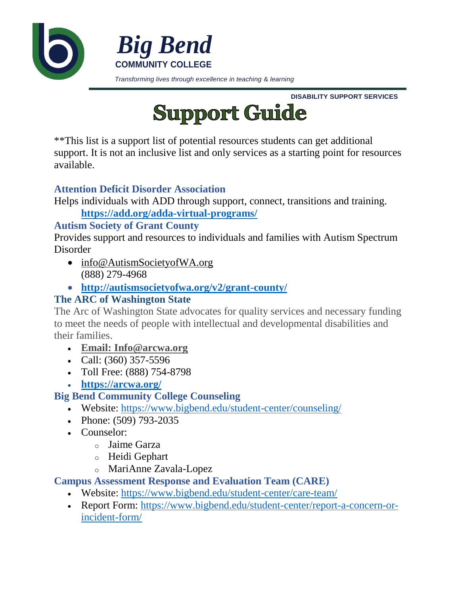

**DISABILITY SUPPORT SERVICES**



\*\*This list is a support list of potential resources students can get additional support. It is not an inclusive list and only services as a starting point for resources available.

## **Attention Deficit Disorder Association**

Helps individuals with ADD through support, connect, transitions and training.

**<https://add.org/adda-virtual-programs/>**

#### **Autism Society of Grant County**

Provides support and resources to individuals and families with Autism Spectrum Disorder

- [info@AutismSocietyofWA.org](mailto:info@AutismSocietyofWA.org) (888) 279-4968
- **<http://autismsocietyofwa.org/v2/grant-county/>**

# **The ARC of Washington State**

The Arc of Washington State advocates for quality services and necessary funding to meet the needs of people with intellectual and developmental disabilities and their families.

- **Email: [Info@arcwa.org](mailto:%20info@arcwa.org)**
- Call:  $(360)$  357-5596
- Toll Free: (888) 754-8798
- **<https://arcwa.org/>**

# **Big Bend Community College Counseling**

- Website:<https://www.bigbend.edu/student-center/counseling/>
- Phone:  $(509)$  793-2035
- Counselor:
	- o Jaime Garza
	- o Heidi Gephart
	- o MariAnne Zavala-Lopez

# **Campus Assessment Response and Evaluation Team (CARE)**

- Website:<https://www.bigbend.edu/student-center/care-team/>
- Report Form: [https://www.bigbend.edu/student-center/report-a-concern-or](https://www.bigbend.edu/student-center/report-a-concern-or-incident-form/)[incident-form/](https://www.bigbend.edu/student-center/report-a-concern-or-incident-form/)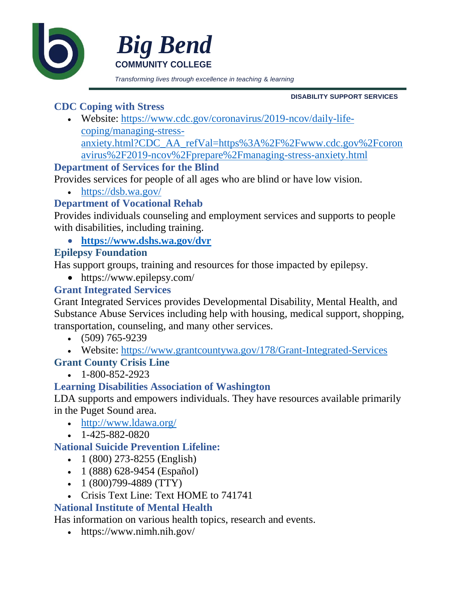



*Transforming lives through excellence in teaching* & *learning*

**DISABILITY SUPPORT SERVICES**

#### **CDC Coping with Stress**

 Website: [https://www.cdc.gov/coronavirus/2019-ncov/daily-life](https://www.cdc.gov/coronavirus/2019-ncov/daily-life-coping/managing-stress-anxiety.html?CDC_AA_refVal=https%3A%2F%2Fwww.cdc.gov%2Fcoronavirus%2F2019-ncov%2Fprepare%2Fmanaging-stress-anxiety.html)[coping/managing-stress](https://www.cdc.gov/coronavirus/2019-ncov/daily-life-coping/managing-stress-anxiety.html?CDC_AA_refVal=https%3A%2F%2Fwww.cdc.gov%2Fcoronavirus%2F2019-ncov%2Fprepare%2Fmanaging-stress-anxiety.html)[anxiety.html?CDC\\_AA\\_refVal=https%3A%2F%2Fwww.cdc.gov%2Fcoron](https://www.cdc.gov/coronavirus/2019-ncov/daily-life-coping/managing-stress-anxiety.html?CDC_AA_refVal=https%3A%2F%2Fwww.cdc.gov%2Fcoronavirus%2F2019-ncov%2Fprepare%2Fmanaging-stress-anxiety.html) [avirus%2F2019-ncov%2Fprepare%2Fmanaging-stress-anxiety.html](https://www.cdc.gov/coronavirus/2019-ncov/daily-life-coping/managing-stress-anxiety.html?CDC_AA_refVal=https%3A%2F%2Fwww.cdc.gov%2Fcoronavirus%2F2019-ncov%2Fprepare%2Fmanaging-stress-anxiety.html)

#### **Department of Services for the Blind**

Provides services for people of all ages who are blind or have low vision.

• <https://dsb.wa.gov/>

#### **Department of Vocational Rehab**

Provides individuals counseling and employment services and supports to people with disabilities, including training.

**<https://www.dshs.wa.gov/dvr>**

#### **Epilepsy Foundation**

Has support groups, training and resources for those impacted by epilepsy.

• https://www.epilepsy.com/

## **Grant Integrated Services**

Grant Integrated Services provides Developmental Disability, Mental Health, and Substance Abuse Services including help with housing, medical support, shopping, transportation, counseling, and many other services.

- $(509)$  765-9239
- Website:<https://www.grantcountywa.gov/178/Grant-Integrated-Services>

# **Grant County Crisis Line**

 $-1-800-852-2923$ 

#### **Learning Disabilities Association of Washington**

LDA supports and empowers individuals. They have resources available primarily in the Puget Sound area.

- <http://www.ldawa.org/>
- $-1-425-882-0820$

#### **National Suicide Prevention Lifeline:**

- $\cdot$  1 (800) 273-8255 (English)
- $1 (888) 628 9454$  (Español)
- $\cdot$  1 (800)799-4889 (TTY)
- Crisis Text Line: Text HOME to 741741

#### **National Institute of Mental Health**

Has information on various health topics, research and events.

https://www.nimh.nih.gov/